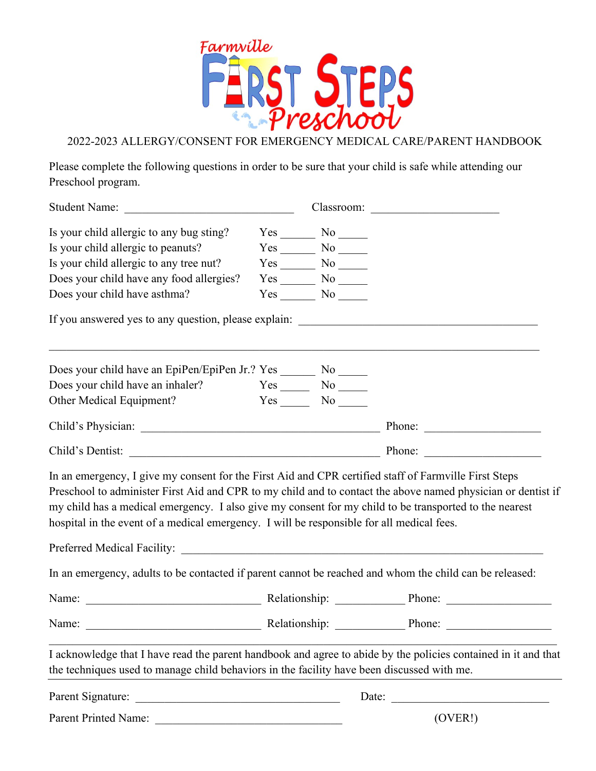

2022-2023 ALLERGY/CONSENT FOR EMERGENCY MEDICAL CARE/PARENT HANDBOOK

Please complete the following questions in order to be sure that your child is safe while attending our Preschool program.

| Student Name:                                                                                                                                                                                                                                                                                                                                                                                                                |  |                    | Classroom:                                                                                                                                                                                                                     |
|------------------------------------------------------------------------------------------------------------------------------------------------------------------------------------------------------------------------------------------------------------------------------------------------------------------------------------------------------------------------------------------------------------------------------|--|--------------------|--------------------------------------------------------------------------------------------------------------------------------------------------------------------------------------------------------------------------------|
| Is your child allergic to any bug sting?                                                                                                                                                                                                                                                                                                                                                                                     |  | $Yes$ No $\_\_$    |                                                                                                                                                                                                                                |
| Is your child allergic to peanuts?                                                                                                                                                                                                                                                                                                                                                                                           |  | $Yes$ No $\_\_$    |                                                                                                                                                                                                                                |
| Is your child allergic to any tree nut?                                                                                                                                                                                                                                                                                                                                                                                      |  | $Yes$ No $\_\_$    |                                                                                                                                                                                                                                |
| Does your child have any food allergies?                                                                                                                                                                                                                                                                                                                                                                                     |  |                    |                                                                                                                                                                                                                                |
| Does your child have asthma?                                                                                                                                                                                                                                                                                                                                                                                                 |  | $Yes$ No $\_\_$    |                                                                                                                                                                                                                                |
| If you answered yes to any question, please explain: ____________________________                                                                                                                                                                                                                                                                                                                                            |  |                    |                                                                                                                                                                                                                                |
| Does your child have an EpiPen/EpiPen Jr.? Yes ________ No ______                                                                                                                                                                                                                                                                                                                                                            |  |                    |                                                                                                                                                                                                                                |
| Does your child have an inhaler?                                                                                                                                                                                                                                                                                                                                                                                             |  | $Yes \_\_ No \_\_$ |                                                                                                                                                                                                                                |
| Other Medical Equipment?                                                                                                                                                                                                                                                                                                                                                                                                     |  | Yes No             |                                                                                                                                                                                                                                |
|                                                                                                                                                                                                                                                                                                                                                                                                                              |  |                    |                                                                                                                                                                                                                                |
|                                                                                                                                                                                                                                                                                                                                                                                                                              |  |                    |                                                                                                                                                                                                                                |
| In an emergency, I give my consent for the First Aid and CPR certified staff of Farmville First Steps<br>Preschool to administer First Aid and CPR to my child and to contact the above named physician or dentist if<br>my child has a medical emergency. I also give my consent for my child to be transported to the nearest<br>hospital in the event of a medical emergency. I will be responsible for all medical fees. |  |                    |                                                                                                                                                                                                                                |
|                                                                                                                                                                                                                                                                                                                                                                                                                              |  |                    |                                                                                                                                                                                                                                |
| In an emergency, adults to be contacted if parent cannot be reached and whom the child can be released:                                                                                                                                                                                                                                                                                                                      |  |                    |                                                                                                                                                                                                                                |
|                                                                                                                                                                                                                                                                                                                                                                                                                              |  |                    |                                                                                                                                                                                                                                |
| Name:                                                                                                                                                                                                                                                                                                                                                                                                                        |  |                    | Relationship: Phone: Phone: Phone: Phone: Phone: Phone: Phone: Phone: Phone: Phone: Phone: Phone: Phone: Phone: Phone: Phone: Phone: Phone: Phone: Phone: Phone: Phone: Phone: Phone: Phone: Phone: Phone: Phone: Phone: Phone |
| I acknowledge that I have read the parent handbook and agree to abide by the policies contained in it and that<br>the techniques used to manage child behaviors in the facility have been discussed with me.                                                                                                                                                                                                                 |  |                    |                                                                                                                                                                                                                                |
|                                                                                                                                                                                                                                                                                                                                                                                                                              |  |                    | Date:                                                                                                                                                                                                                          |
|                                                                                                                                                                                                                                                                                                                                                                                                                              |  |                    | (OVER!)                                                                                                                                                                                                                        |